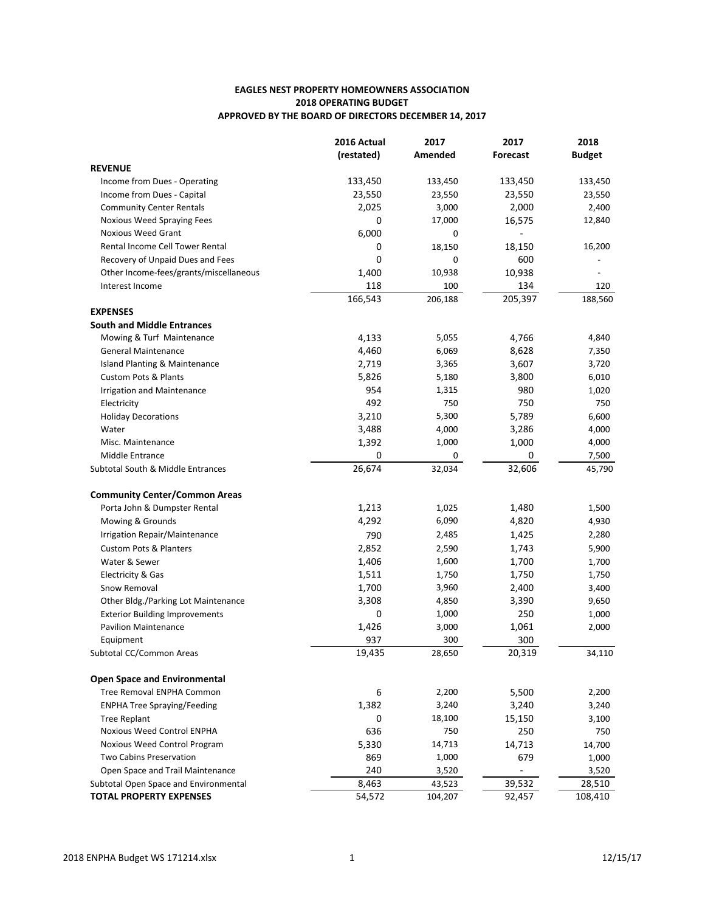## **EAGLES NEST PROPERTY HOMEOWNERS ASSOCIATION 2018 OPERATING BUDGET** APPROVED BY THE BOARD OF DIRECTORS DECEMBER 14, 2017

|                                        | 2016 Actual | 2017    | 2017            | 2018          |
|----------------------------------------|-------------|---------|-----------------|---------------|
|                                        | (restated)  | Amended | <b>Forecast</b> | <b>Budget</b> |
| <b>REVENUE</b>                         |             |         |                 |               |
| Income from Dues - Operating           | 133,450     | 133,450 | 133,450         | 133,450       |
| Income from Dues - Capital             | 23,550      | 23,550  | 23,550          | 23,550        |
| <b>Community Center Rentals</b>        | 2,025       | 3,000   | 2,000           | 2,400         |
| Noxious Weed Spraying Fees             | 0           | 17,000  | 16,575          | 12,840        |
| <b>Noxious Weed Grant</b>              | 6,000       | 0       |                 |               |
| Rental Income Cell Tower Rental        | 0           | 18,150  | 18,150          | 16,200        |
| Recovery of Unpaid Dues and Fees       | 0           | 0       | 600             |               |
| Other Income-fees/grants/miscellaneous | 1,400       | 10,938  | 10,938          |               |
| Interest Income                        | 118         | 100     | 134             | 120           |
|                                        | 166,543     | 206,188 | 205,397         | 188,560       |
| <b>EXPENSES</b>                        |             |         |                 |               |
| <b>South and Middle Entrances</b>      |             |         |                 |               |
| Mowing & Turf Maintenance              | 4,133       | 5,055   | 4,766           | 4,840         |
| General Maintenance                    | 4,460       | 6,069   | 8,628           | 7,350         |
| Island Planting & Maintenance          | 2,719       | 3,365   | 3,607           | 3,720         |
| <b>Custom Pots &amp; Plants</b>        | 5,826       | 5,180   | 3,800           | 6,010         |
| Irrigation and Maintenance             | 954         | 1,315   | 980             | 1,020         |
| Electricity                            | 492         | 750     | 750             | 750           |
| <b>Holiday Decorations</b>             | 3,210       | 5,300   | 5,789           | 6,600         |
| Water                                  | 3,488       | 4,000   | 3,286           | 4,000         |
| Misc. Maintenance                      | 1,392       | 1,000   | 1,000           | 4,000         |
| Middle Entrance                        | 0           | 0       | 0               | 7,500         |
| Subtotal South & Middle Entrances      | 26,674      | 32,034  | 32,606          | 45,790        |
| <b>Community Center/Common Areas</b>   |             |         |                 |               |
| Porta John & Dumpster Rental           | 1,213       | 1,025   | 1,480           | 1,500         |
| Mowing & Grounds                       | 4,292       | 6,090   | 4,820           | 4,930         |
| Irrigation Repair/Maintenance          | 790         | 2,485   | 1,425           | 2,280         |
| <b>Custom Pots &amp; Planters</b>      | 2,852       | 2,590   | 1,743           | 5,900         |
| Water & Sewer                          | 1,406       | 1,600   | 1,700           | 1,700         |
| Electricity & Gas                      | 1,511       | 1,750   | 1,750           | 1,750         |
| Snow Removal                           | 1,700       | 3,960   | 2,400           | 3,400         |
| Other Bldg./Parking Lot Maintenance    | 3,308       | 4,850   | 3,390           | 9,650         |
| <b>Exterior Building Improvements</b>  | 0           | 1,000   | 250             | 1,000         |
| <b>Pavilion Maintenance</b>            | 1,426       | 3,000   | 1,061           | 2,000         |
| Equipment                              | 937         | 300     | 300             |               |
| Subtotal CC/Common Areas               | 19,435      | 28,650  | 20,319          | 34,110        |
| <b>Open Space and Environmental</b>    |             |         |                 |               |
| Tree Removal ENPHA Common              | 6           | 2,200   | 5,500           | 2,200         |
| <b>ENPHA Tree Spraying/Feeding</b>     | 1,382       | 3,240   | 3,240           | 3,240         |
| <b>Tree Replant</b>                    | 0           | 18,100  | 15,150          | 3,100         |
| Noxious Weed Control ENPHA             | 636         | 750     | 250             | 750           |
| Noxious Weed Control Program           | 5,330       | 14,713  | 14,713          | 14,700        |
| Two Cabins Preservation                | 869         | 1,000   | 679             | 1,000         |
| Open Space and Trail Maintenance       | 240         | 3,520   | ÷,              | 3,520         |
| Subtotal Open Space and Environmental  | 8,463       | 43,523  | 39,532          | 28,510        |
| <b>TOTAL PROPERTY EXPENSES</b>         | 54,572      | 104,207 | 92,457          | 108,410       |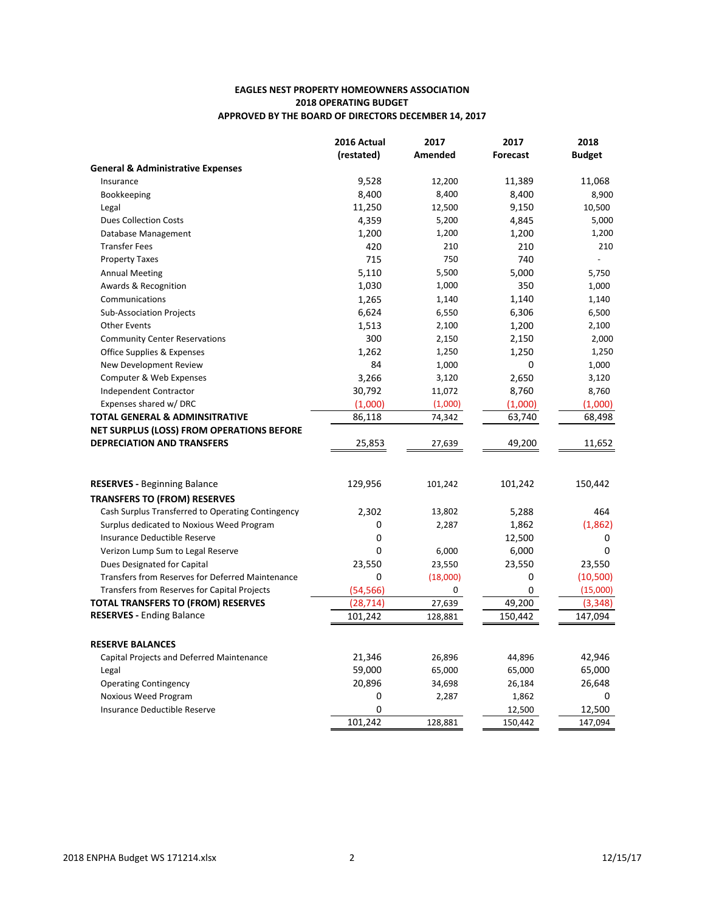## **EAGLES NEST PROPERTY HOMEOWNERS ASSOCIATION 2018 OPERATING BUDGET** APPROVED BY THE BOARD OF DIRECTORS DECEMBER 14, 2017

|                                                                                 | 2016 Actual            | 2017          | 2017            | 2018                 |
|---------------------------------------------------------------------------------|------------------------|---------------|-----------------|----------------------|
|                                                                                 | (restated)             | Amended       | <b>Forecast</b> | <b>Budget</b>        |
| <b>General &amp; Administrative Expenses</b>                                    |                        |               |                 |                      |
| Insurance                                                                       | 9,528                  | 12,200        | 11,389          | 11,068               |
| Bookkeeping                                                                     | 8,400                  | 8,400         | 8,400           | 8,900                |
| Legal                                                                           | 11,250                 | 12,500        | 9,150           | 10,500               |
| <b>Dues Collection Costs</b>                                                    | 4,359                  | 5,200         | 4,845           | 5,000                |
| Database Management                                                             | 1,200                  | 1,200         | 1,200           | 1,200                |
| <b>Transfer Fees</b>                                                            | 420                    | 210           | 210             | 210                  |
| <b>Property Taxes</b>                                                           | 715                    | 750           | 740             |                      |
| <b>Annual Meeting</b>                                                           | 5,110                  | 5,500         | 5,000           | 5,750                |
| Awards & Recognition                                                            | 1,030                  | 1,000         | 350             | 1,000                |
| Communications                                                                  | 1,265                  | 1,140         | 1,140           | 1,140                |
| <b>Sub-Association Projects</b>                                                 | 6,624                  | 6,550         | 6,306           | 6,500                |
| <b>Other Events</b>                                                             | 1,513                  | 2,100         | 1,200           | 2,100                |
| <b>Community Center Reservations</b>                                            | 300                    | 2,150         | 2,150           | 2,000                |
| Office Supplies & Expenses                                                      | 1,262                  | 1,250         | 1,250           | 1,250                |
| New Development Review                                                          | 84                     | 1,000         | $\mathbf 0$     | 1,000                |
| Computer & Web Expenses                                                         | 3,266                  | 3,120         | 2,650           | 3,120                |
| Independent Contractor                                                          | 30,792                 | 11,072        | 8,760           | 8,760                |
| Expenses shared w/ DRC                                                          | (1,000)                | (1,000)       | (1,000)         | (1,000)              |
| TOTAL GENERAL & ADMINSITRATIVE                                                  | 86,118                 | 74,342        | 63,740          | 68,498               |
| <b>NET SURPLUS (LOSS) FROM OPERATIONS BEFORE</b>                                |                        |               |                 |                      |
| <b>DEPRECIATION AND TRANSFERS</b>                                               | 25,853                 | 27,639        | 49,200          | 11,652               |
| <b>RESERVES - Beginning Balance</b>                                             | 129,956                | 101,242       | 101,242         | 150,442              |
|                                                                                 |                        |               |                 |                      |
| <b>TRANSFERS TO (FROM) RESERVES</b>                                             |                        |               |                 |                      |
| Cash Surplus Transferred to Operating Contingency                               | 2,302                  | 13,802        | 5,288           | 464                  |
| Surplus dedicated to Noxious Weed Program                                       | 0<br>0                 | 2,287         | 1,862           | (1,862)              |
| Insurance Deductible Reserve                                                    | 0                      |               | 12,500          | 0<br>0               |
| Verizon Lump Sum to Legal Reserve                                               |                        | 6,000         | 6,000           |                      |
| Dues Designated for Capital<br>Transfers from Reserves for Deferred Maintenance | 23,550<br>0            | 23,550        | 23,550<br>0     | 23,550               |
| Transfers from Reserves for Capital Projects                                    |                        | (18,000)<br>0 | 0               | (10, 500)            |
| TOTAL TRANSFERS TO (FROM) RESERVES                                              | (54, 566)<br>(28, 714) |               | 49,200          | (15,000)<br>(3, 348) |
| <b>RESERVES - Ending Balance</b>                                                | 101,242                | 27,639        | 150,442         |                      |
|                                                                                 |                        | 128,881       |                 | 147,094              |
| <b>RESERVE BALANCES</b>                                                         |                        |               |                 |                      |
| Capital Projects and Deferred Maintenance                                       | 21,346                 | 26,896        | 44,896          | 42,946               |
| Legal                                                                           | 59,000                 | 65,000        | 65,000          | 65,000               |
| <b>Operating Contingency</b>                                                    | 20,896                 | 34,698        | 26,184          | 26,648               |
| <b>Noxious Weed Program</b>                                                     | 0                      | 2,287         | 1,862           | 0                    |
| Insurance Deductible Reserve                                                    | 0                      |               | 12,500          | 12,500               |
|                                                                                 | 101,242                | 128,881       | 150,442         | 147,094              |